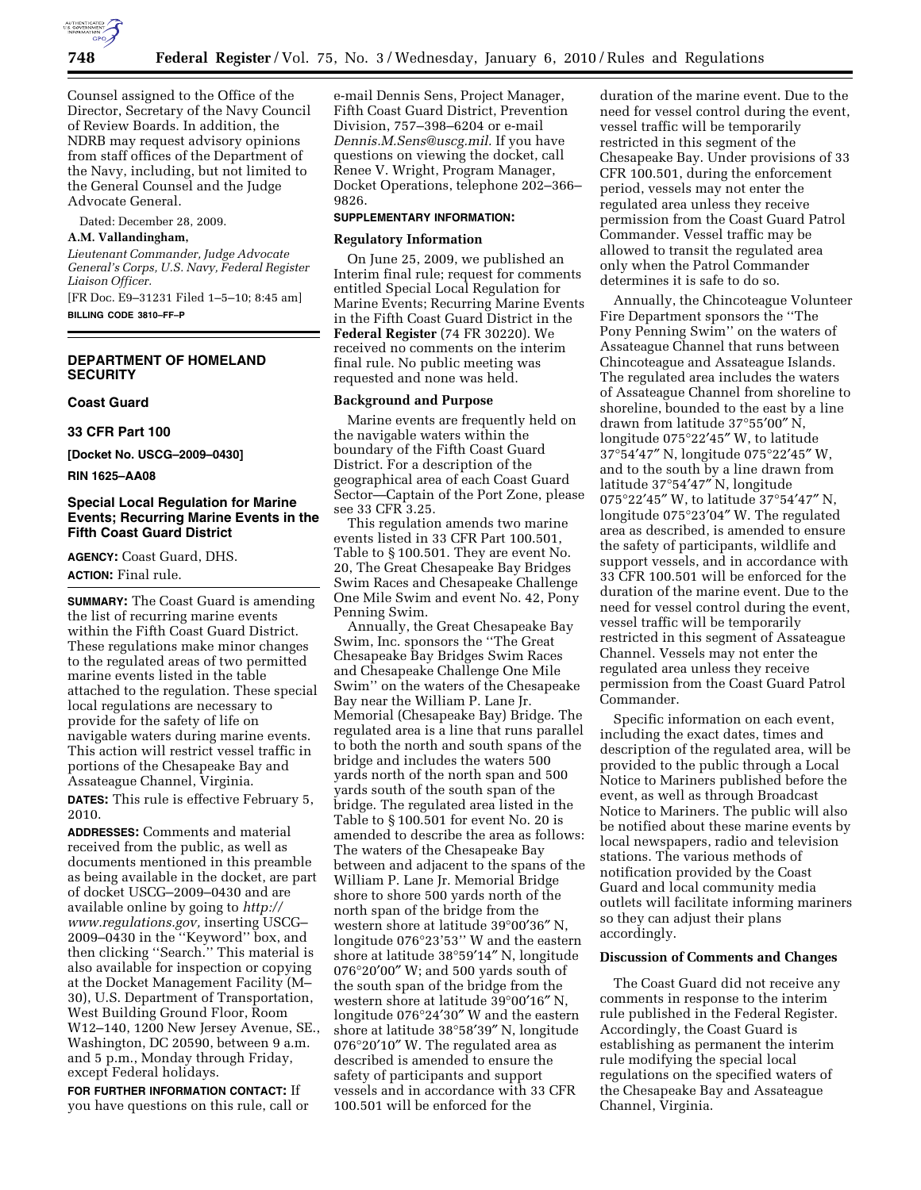

Counsel assigned to the Office of the Director, Secretary of the Navy Council of Review Boards. In addition, the NDRB may request advisory opinions from staff offices of the Department of the Navy, including, but not limited to the General Counsel and the Judge Advocate General.

Dated: December 28, 2009.

### **A.M. Vallandingham,**

*Lieutenant Commander, Judge Advocate General's Corps, U.S. Navy, Federal Register Liaison Officer.* 

[FR Doc. E9–31231 Filed 1–5–10; 8:45 am] **BILLING CODE 3810–FF–P** 

### **DEPARTMENT OF HOMELAND SECURITY**

### **Coast Guard**

**33 CFR Part 100** 

**[Docket No. USCG–2009–0430]** 

**RIN 1625–AA08** 

## **Special Local Regulation for Marine Events; Recurring Marine Events in the Fifth Coast Guard District**

**AGENCY:** Coast Guard, DHS. **ACTION:** Final rule.

**SUMMARY:** The Coast Guard is amending the list of recurring marine events within the Fifth Coast Guard District. These regulations make minor changes to the regulated areas of two permitted marine events listed in the table attached to the regulation. These special local regulations are necessary to provide for the safety of life on navigable waters during marine events. This action will restrict vessel traffic in portions of the Chesapeake Bay and Assateague Channel, Virginia.

**DATES:** This rule is effective February 5, 2010.

**ADDRESSES:** Comments and material received from the public, as well as documents mentioned in this preamble as being available in the docket, are part of docket USCG–2009–0430 and are available online by going to *http:// www.regulations.gov,* inserting USCG– 2009–0430 in the ''Keyword'' box, and then clicking ''Search.'' This material is also available for inspection or copying at the Docket Management Facility (M– 30), U.S. Department of Transportation, West Building Ground Floor, Room W12–140, 1200 New Jersey Avenue, SE., Washington, DC 20590, between 9 a.m. and 5 p.m., Monday through Friday, except Federal holidays.

**FOR FURTHER INFORMATION CONTACT:** If you have questions on this rule, call or e-mail Dennis Sens, Project Manager, Fifth Coast Guard District, Prevention Division, 757–398–6204 or e-mail *Dennis.M.Sens@uscg.mil.* If you have questions on viewing the docket, call Renee V. Wright, Program Manager, Docket Operations, telephone 202–366– 9826.

#### **SUPPLEMENTARY INFORMATION:**

#### **Regulatory Information**

On June 25, 2009, we published an Interim final rule; request for comments entitled Special Local Regulation for Marine Events; Recurring Marine Events in the Fifth Coast Guard District in the **Federal Register** (74 FR 30220). We received no comments on the interim final rule. No public meeting was requested and none was held.

#### **Background and Purpose**

Marine events are frequently held on the navigable waters within the boundary of the Fifth Coast Guard District. For a description of the geographical area of each Coast Guard Sector—Captain of the Port Zone, please see 33 CFR 3.25.

This regulation amends two marine events listed in 33 CFR Part 100.501, Table to § 100.501. They are event No. 20, The Great Chesapeake Bay Bridges Swim Races and Chesapeake Challenge One Mile Swim and event No. 42, Pony Penning Swim.

Annually, the Great Chesapeake Bay Swim, Inc. sponsors the ''The Great Chesapeake Bay Bridges Swim Races and Chesapeake Challenge One Mile Swim'' on the waters of the Chesapeake Bay near the William P. Lane Jr. Memorial (Chesapeake Bay) Bridge. The regulated area is a line that runs parallel to both the north and south spans of the bridge and includes the waters 500 yards north of the north span and 500 yards south of the south span of the bridge. The regulated area listed in the Table to § 100.501 for event No. 20 is amended to describe the area as follows: The waters of the Chesapeake Bay between and adjacent to the spans of the William P. Lane Jr. Memorial Bridge shore to shore 500 yards north of the north span of the bridge from the western shore at latitude 39°00′36″ N, longitude 076°23'53'' W and the eastern shore at latitude 38°59′14″ N, longitude 076°20′00″ W; and 500 yards south of the south span of the bridge from the western shore at latitude 39°00′16″ N, longitude 076°24′30″ W and the eastern shore at latitude 38°58′39″ N, longitude 076°20′10″ W. The regulated area as described is amended to ensure the safety of participants and support vessels and in accordance with 33 CFR 100.501 will be enforced for the

duration of the marine event. Due to the need for vessel control during the event, vessel traffic will be temporarily restricted in this segment of the Chesapeake Bay. Under provisions of 33 CFR 100.501, during the enforcement period, vessels may not enter the regulated area unless they receive permission from the Coast Guard Patrol Commander. Vessel traffic may be allowed to transit the regulated area only when the Patrol Commander determines it is safe to do so.

Annually, the Chincoteague Volunteer Fire Department sponsors the ''The Pony Penning Swim'' on the waters of Assateague Channel that runs between Chincoteague and Assateague Islands. The regulated area includes the waters of Assateague Channel from shoreline to shoreline, bounded to the east by a line drawn from latitude 37°55′00″ N, longitude 075°22′45″ W, to latitude 37°54′47″ N, longitude 075°22′45″ W, and to the south by a line drawn from latitude 37°54′47″ N, longitude 075°22′45″ W, to latitude 37°54′47″ N, longitude 075°23′04″ W. The regulated area as described, is amended to ensure the safety of participants, wildlife and support vessels, and in accordance with 33 CFR 100.501 will be enforced for the duration of the marine event. Due to the need for vessel control during the event, vessel traffic will be temporarily restricted in this segment of Assateague Channel. Vessels may not enter the regulated area unless they receive permission from the Coast Guard Patrol Commander.

Specific information on each event, including the exact dates, times and description of the regulated area, will be provided to the public through a Local Notice to Mariners published before the event, as well as through Broadcast Notice to Mariners. The public will also be notified about these marine events by local newspapers, radio and television stations. The various methods of notification provided by the Coast Guard and local community media outlets will facilitate informing mariners so they can adjust their plans accordingly.

#### **Discussion of Comments and Changes**

The Coast Guard did not receive any comments in response to the interim rule published in the Federal Register. Accordingly, the Coast Guard is establishing as permanent the interim rule modifying the special local regulations on the specified waters of the Chesapeake Bay and Assateague Channel, Virginia.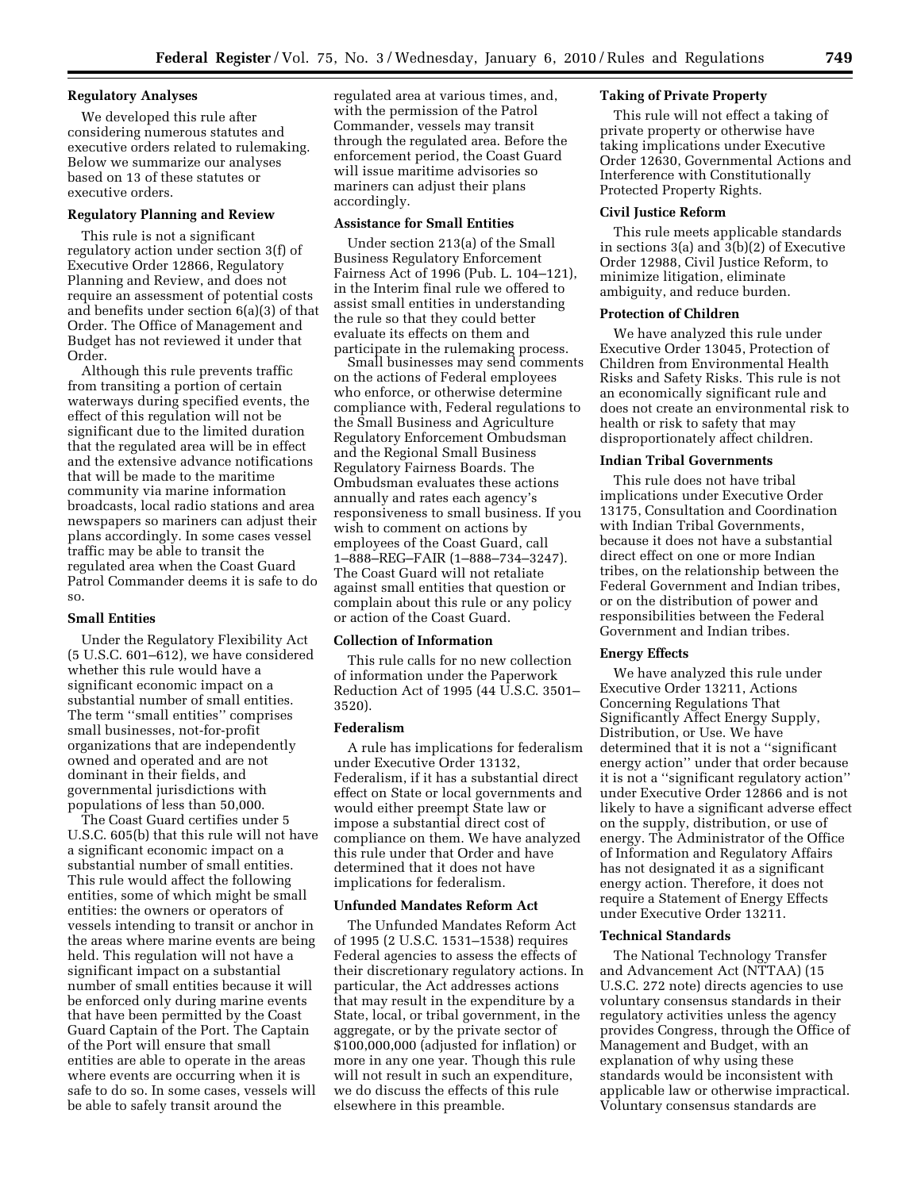## **Regulatory Analyses**

We developed this rule after considering numerous statutes and executive orders related to rulemaking. Below we summarize our analyses based on 13 of these statutes or executive orders.

# **Regulatory Planning and Review**

This rule is not a significant regulatory action under section 3(f) of Executive Order 12866, Regulatory Planning and Review, and does not require an assessment of potential costs and benefits under section 6(a)(3) of that Order. The Office of Management and Budget has not reviewed it under that Order.

Although this rule prevents traffic from transiting a portion of certain waterways during specified events, the effect of this regulation will not be significant due to the limited duration that the regulated area will be in effect and the extensive advance notifications that will be made to the maritime community via marine information broadcasts, local radio stations and area newspapers so mariners can adjust their plans accordingly. In some cases vessel traffic may be able to transit the regulated area when the Coast Guard Patrol Commander deems it is safe to do so.

### **Small Entities**

Under the Regulatory Flexibility Act (5 U.S.C. 601–612), we have considered whether this rule would have a significant economic impact on a substantial number of small entities. The term ''small entities'' comprises small businesses, not-for-profit organizations that are independently owned and operated and are not dominant in their fields, and governmental jurisdictions with populations of less than 50,000.

The Coast Guard certifies under 5 U.S.C. 605(b) that this rule will not have a significant economic impact on a substantial number of small entities. This rule would affect the following entities, some of which might be small entities: the owners or operators of vessels intending to transit or anchor in the areas where marine events are being held. This regulation will not have a significant impact on a substantial number of small entities because it will be enforced only during marine events that have been permitted by the Coast Guard Captain of the Port. The Captain of the Port will ensure that small entities are able to operate in the areas where events are occurring when it is safe to do so. In some cases, vessels will be able to safely transit around the

regulated area at various times, and, with the permission of the Patrol Commander, vessels may transit through the regulated area. Before the enforcement period, the Coast Guard will issue maritime advisories so mariners can adjust their plans accordingly.

### **Assistance for Small Entities**

Under section 213(a) of the Small Business Regulatory Enforcement Fairness Act of 1996 (Pub. L. 104–121), in the Interim final rule we offered to assist small entities in understanding the rule so that they could better evaluate its effects on them and participate in the rulemaking process.

Small businesses may send comments on the actions of Federal employees who enforce, or otherwise determine compliance with, Federal regulations to the Small Business and Agriculture Regulatory Enforcement Ombudsman and the Regional Small Business Regulatory Fairness Boards. The Ombudsman evaluates these actions annually and rates each agency's responsiveness to small business. If you wish to comment on actions by employees of the Coast Guard, call 1–888–REG–FAIR (1–888–734–3247). The Coast Guard will not retaliate against small entities that question or complain about this rule or any policy or action of the Coast Guard.

#### **Collection of Information**

This rule calls for no new collection of information under the Paperwork Reduction Act of 1995 (44 U.S.C. 3501– 3520).

### **Federalism**

A rule has implications for federalism under Executive Order 13132, Federalism, if it has a substantial direct effect on State or local governments and would either preempt State law or impose a substantial direct cost of compliance on them. We have analyzed this rule under that Order and have determined that it does not have implications for federalism.

#### **Unfunded Mandates Reform Act**

The Unfunded Mandates Reform Act of 1995 (2 U.S.C. 1531–1538) requires Federal agencies to assess the effects of their discretionary regulatory actions. In particular, the Act addresses actions that may result in the expenditure by a State, local, or tribal government, in the aggregate, or by the private sector of \$100,000,000 (adjusted for inflation) or more in any one year. Though this rule will not result in such an expenditure, we do discuss the effects of this rule elsewhere in this preamble.

## **Taking of Private Property**

This rule will not effect a taking of private property or otherwise have taking implications under Executive Order 12630, Governmental Actions and Interference with Constitutionally Protected Property Rights.

#### **Civil Justice Reform**

This rule meets applicable standards in sections 3(a) and  $3(b)(2)$  of Executive Order 12988, Civil Justice Reform, to minimize litigation, eliminate ambiguity, and reduce burden.

### **Protection of Children**

We have analyzed this rule under Executive Order 13045, Protection of Children from Environmental Health Risks and Safety Risks. This rule is not an economically significant rule and does not create an environmental risk to health or risk to safety that may disproportionately affect children.

## **Indian Tribal Governments**

This rule does not have tribal implications under Executive Order 13175, Consultation and Coordination with Indian Tribal Governments, because it does not have a substantial direct effect on one or more Indian tribes, on the relationship between the Federal Government and Indian tribes, or on the distribution of power and responsibilities between the Federal Government and Indian tribes.

### **Energy Effects**

We have analyzed this rule under Executive Order 13211, Actions Concerning Regulations That Significantly Affect Energy Supply, Distribution, or Use. We have determined that it is not a ''significant energy action'' under that order because it is not a ''significant regulatory action'' under Executive Order 12866 and is not likely to have a significant adverse effect on the supply, distribution, or use of energy. The Administrator of the Office of Information and Regulatory Affairs has not designated it as a significant energy action. Therefore, it does not require a Statement of Energy Effects under Executive Order 13211.

### **Technical Standards**

The National Technology Transfer and Advancement Act (NTTAA) (15 U.S.C. 272 note) directs agencies to use voluntary consensus standards in their regulatory activities unless the agency provides Congress, through the Office of Management and Budget, with an explanation of why using these standards would be inconsistent with applicable law or otherwise impractical. Voluntary consensus standards are